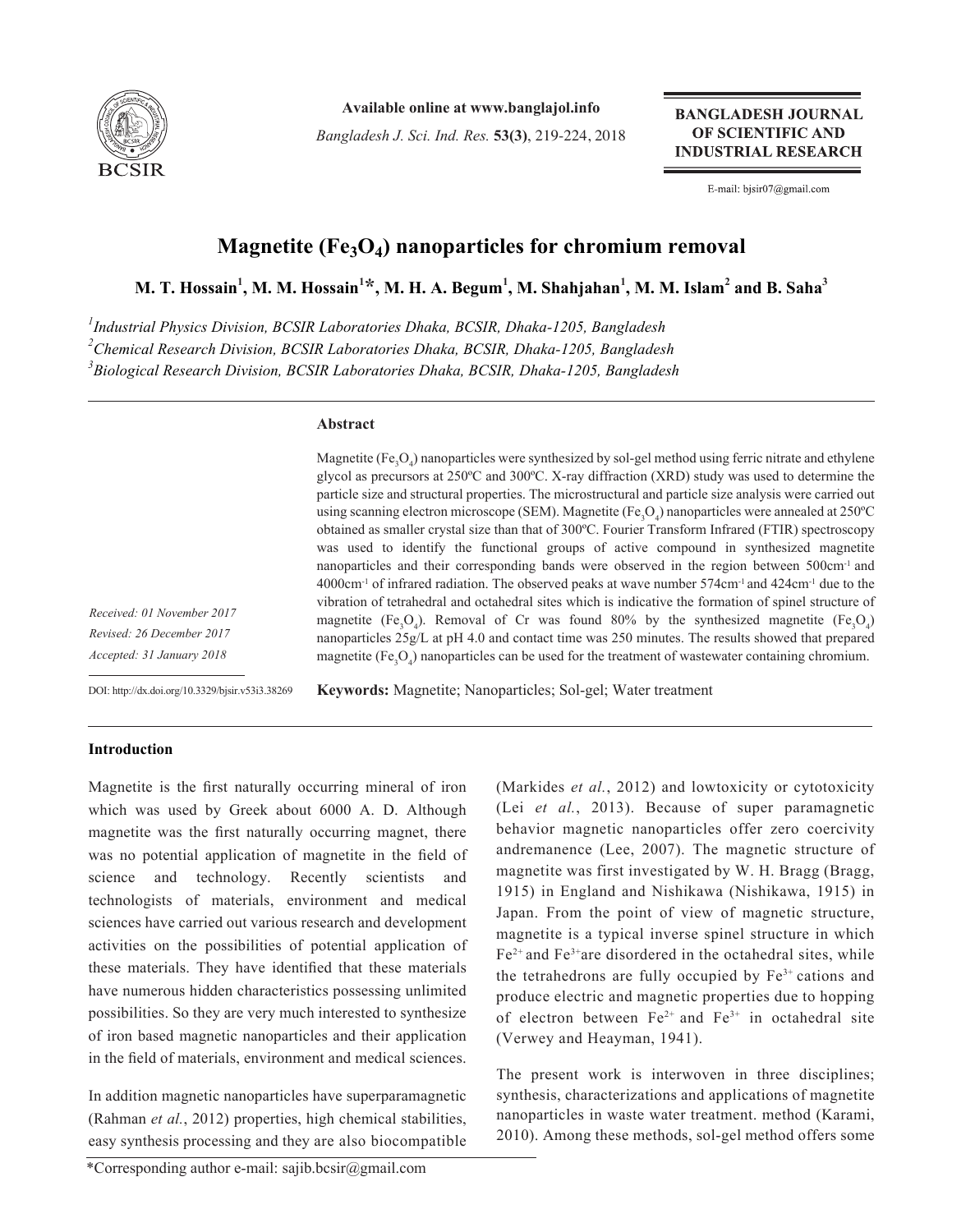

**Available online at www.banglajol.info**

*Bangladesh J. Sci. Ind. Res.* **53(3)**, 219-224, 2018

**BANGLADESH JOURNAL** OF SCIENTIFIC AND **INDUSTRIAL RESEARCH** 

E-mail: bjsir07@gmail.com

# **Magnetite (Fe<sub>3</sub>O<sub>4</sub>) nanoparticles for chromium removal**

 $\mathbf{M.~T.~H}$ ossain $^{1},$   $\mathbf{M.~M.~H}$ ossain $^{1}*$ ,  $\mathbf{M.~H.~A.~Begum}^{1},$   $\mathbf{M.~Shahjahan}^{1},$   $\mathbf{M.~M.~Islam}^{2}$  and  $\mathbf{B.~Saha}^{3}$ 

*1 Industrial Physics Division, BCSIR Laboratories Dhaka, BCSIR, Dhaka-1205, Bangladesh 2 Chemical Research Division, BCSIR Laboratories Dhaka, BCSIR, Dhaka-1205, Bangladesh 3 Biological Research Division, BCSIR Laboratories Dhaka, BCSIR, Dhaka-1205, Bangladesh*

# **Abstract**

Magnetite (Fe<sub>3</sub>O<sub>4</sub>) nanoparticles were synthesized by sol-gel method using ferric nitrate and ethylene glycol as precursors at 250ºC and 300ºC. X-ray diffraction (XRD) study was used to determine the particle size and structural properties. The microstructural and particle size analysis were carried out using scanning electron microscope (SEM). Magnetite (Fe<sub>3</sub>O<sub>4</sub>) nanoparticles were annealed at 250°C obtained as smaller crystal size than that of 300ºC. Fourier Transform Infrared (FTIR) spectroscopy was used to identify the functional groups of active compound in synthesized magnetite nanoparticles and their corresponding bands were observed in the region between 500cm<sup>-1</sup> and 4000cm-1 of infrared radiation. The observed peaks at wave number 574cm-1 and 424cm-1 due to the vibration of tetrahedral and octahedral sites which is indicative the formation of spinel structure of magnetite (Fe<sub>3</sub>O<sub>4</sub>). Removal of Cr was found 80% by the synthesized magnetite (Fe<sub>3</sub>O<sub>4</sub>) nanoparticles 25g/L at pH 4.0 and contact time was 250 minutes. The results showed that prepared magnetite (Fe<sub>3</sub>O<sub>4</sub>) nanoparticles can be used for the treatment of wastewater containing chromium.

*Received: 01 November 2017 Revised: 26 December 2017 Accepted: 31 January 2018*

DOI: http://dx.doi.org/10.3329/bjsir.v53i3.38269

**Keywords:** Magnetite; Nanoparticles; Sol-gel; Water treatment

# **Introduction**

Magnetite is the first naturally occurring mineral of iron which was used by Greek about 6000 A. D. Although magnetite was the first naturally occurring magnet, there was no potential application of magnetite in the field of science and technology. Recently scientists and technologists of materials, environment and medical sciences have carried out various research and development activities on the possibilities of potential application of these materials. They have identified that these materials have numerous hidden characteristics possessing unlimited possibilities. So they are very much interested to synthesize of iron based magnetic nanoparticles and their application in the field of materials, environment and medical sciences.

In addition magnetic nanoparticles have superparamagnetic (Rahman *et al.*, 2012) properties, high chemical stabilities, easy synthesis processing and they are also biocompatible (Markides *et al.*, 2012) and lowtoxicity or cytotoxicity (Lei *et al.*, 2013). Because of super paramagnetic behavior magnetic nanoparticles offer zero coercivity andremanence (Lee, 2007). The magnetic structure of magnetite was first investigated by W. H. Bragg (Bragg, 1915) in England and Nishikawa (Nishikawa, 1915) in Japan. From the point of view of magnetic structure, magnetite is a typical inverse spinel structure in which  $Fe<sup>2+</sup>$  and  $Fe<sup>3+</sup>$  are disordered in the octahedral sites, while the tetrahedrons are fully occupied by  $Fe<sup>3+</sup>$  cations and produce electric and magnetic properties due to hopping of electron between  $Fe^{2+}$  and  $Fe^{3+}$  in octahedral site (Verwey and Heayman, 1941).

The present work is interwoven in three disciplines; synthesis, characterizations and applications of magnetite nanoparticles in waste water treatment. method (Karami, 2010). Among these methods, sol-gel method offers some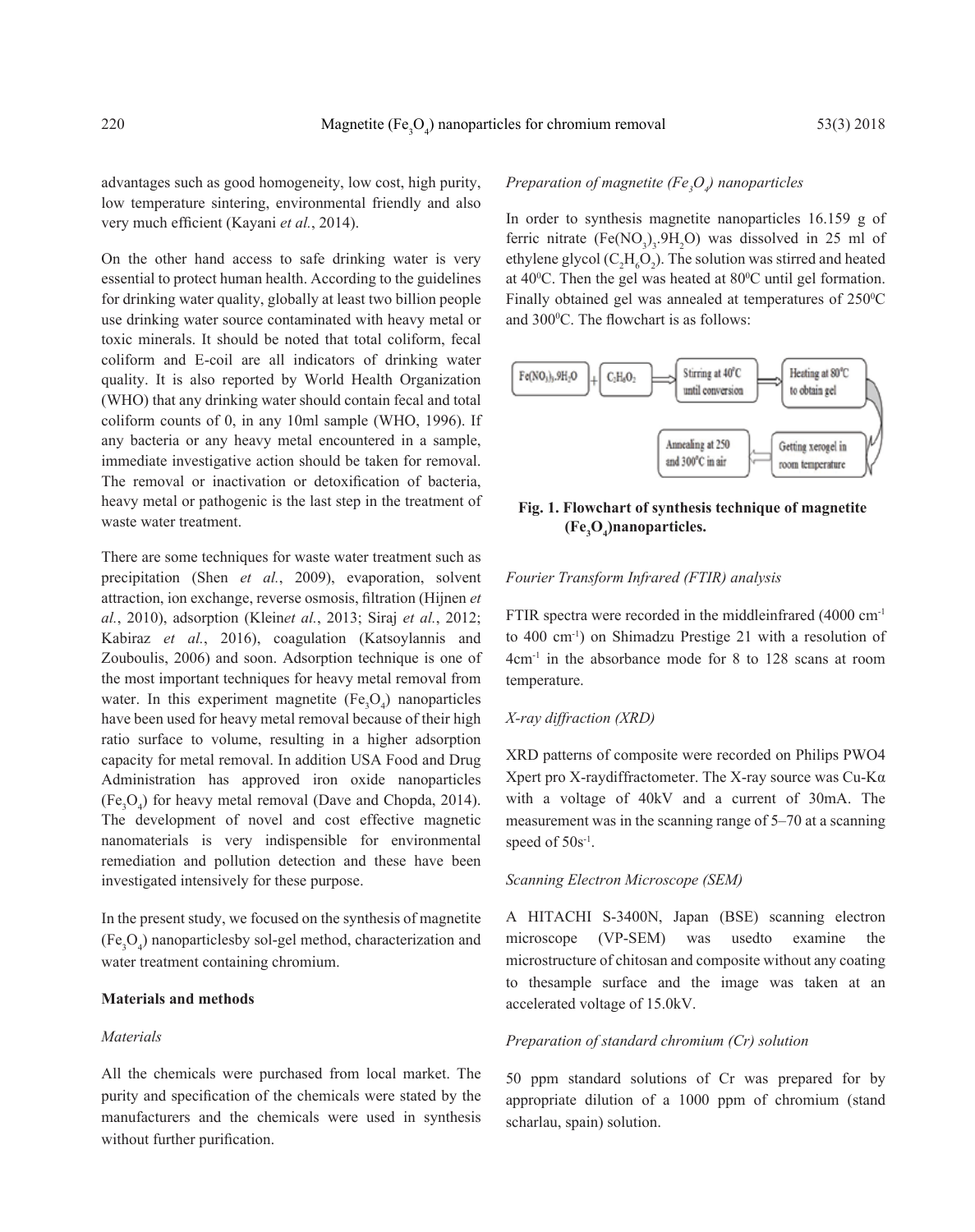advantages such as good homogeneity, low cost, high purity, low temperature sintering, environmental friendly and also very much efficient (Kayani *et al.*, 2014).

On the other hand access to safe drinking water is very essential to protect human health. According to the guidelines for drinking water quality, globally at least two billion people use drinking water source contaminated with heavy metal or toxic minerals. It should be noted that total coliform, fecal coliform and E-coil are all indicators of drinking water quality. It is also reported by World Health Organization (WHO) that any drinking water should contain fecal and total coliform counts of 0, in any 10ml sample (WHO, 1996). If any bacteria or any heavy metal encountered in a sample, immediate investigative action should be taken for removal. The removal or inactivation or detoxification of bacteria, heavy metal or pathogenic is the last step in the treatment of waste water treatment.

There are some techniques for waste water treatment such as precipitation (Shen *et al.*, 2009), evaporation, solvent attraction, ion exchange, reverse osmosis, filtration (Hijnen *et al.*, 2010), adsorption (Klein*et al.*, 2013; Siraj *et al.*, 2012; Kabiraz *et al.*, 2016), coagulation (Katsoylannis and Zouboulis, 2006) and soon. Adsorption technique is one of the most important techniques for heavy metal removal from water. In this experiment magnetite  $(Fe<sub>3</sub>O<sub>4</sub>)$  nanoparticles have been used for heavy metal removal because of their high ratio surface to volume, resulting in a higher adsorption capacity for metal removal. In addition USA Food and Drug Administration has approved iron oxide nanoparticles  $(Fe<sub>3</sub>O<sub>4</sub>)$  for heavy metal removal (Dave and Chopda, 2014). The development of novel and cost effective magnetic nanomaterials is very indispensible for environmental remediation and pollution detection and these have been investigated intensively for these purpose.

In the present study, we focused on the synthesis of magnetite  $(Fe<sub>3</sub>O<sub>4</sub>)$  nanoparticles by sol-gel method, characterization and water treatment containing chromium.

# **Materials and methods**

### *Materials*

All the chemicals were purchased from local market. The purity and specification of the chemicals were stated by the manufacturers and the chemicals were used in synthesis without further purification.

# *Preparation of magnetite (Fe3 O4 ) nanoparticles*

In order to synthesis magnetite nanoparticles 16.159 g of ferric nitrate  $(Fe(NO<sub>3</sub>)<sub>3</sub>$ .9H<sub>2</sub>O) was dissolved in 25 ml of ethylene glycol  $(C_2H_6O_2)$ . The solution was stirred and heated at  $40^{\circ}$ C. Then the gel was heated at  $80^{\circ}$ C until gel formation. Finally obtained gel was annealed at temperatures of 250°C and 300°C. The flowchart is as follows:



**Fig. 1. Flowchart of synthesis technique of magnetite (Fe3 O4 )nanoparticles.**

#### *Fourier Transform Infrared (FTIR) analysis*

FTIR spectra were recorded in the middleinfrared (4000 cm<sup>-1</sup>) to 400 cm-1) on Shimadzu Prestige 21 with a resolution of 4cm-1 in the absorbance mode for 8 to 128 scans at room temperature.

#### *X-ray diffraction (XRD)*

XRD patterns of composite were recorded on Philips PWO4 Xpert pro X-raydiffractometer. The X-ray source was Cu-Kα with a voltage of 40kV and a current of 30mA. The measurement was in the scanning range of 5–70 at a scanning speed of  $50s^{-1}$ .

#### *Scanning Electron Microscope (SEM)*

A HITACHI S-3400N, Japan (BSE) scanning electron microscope (VP-SEM) was usedto examine the microstructure of chitosan and composite without any coating to thesample surface and the image was taken at an accelerated voltage of 15.0kV.

# *Preparation of standard chromium (Cr) solution*

50 ppm standard solutions of Cr was prepared for by appropriate dilution of a 1000 ppm of chromium (stand scharlau, spain) solution.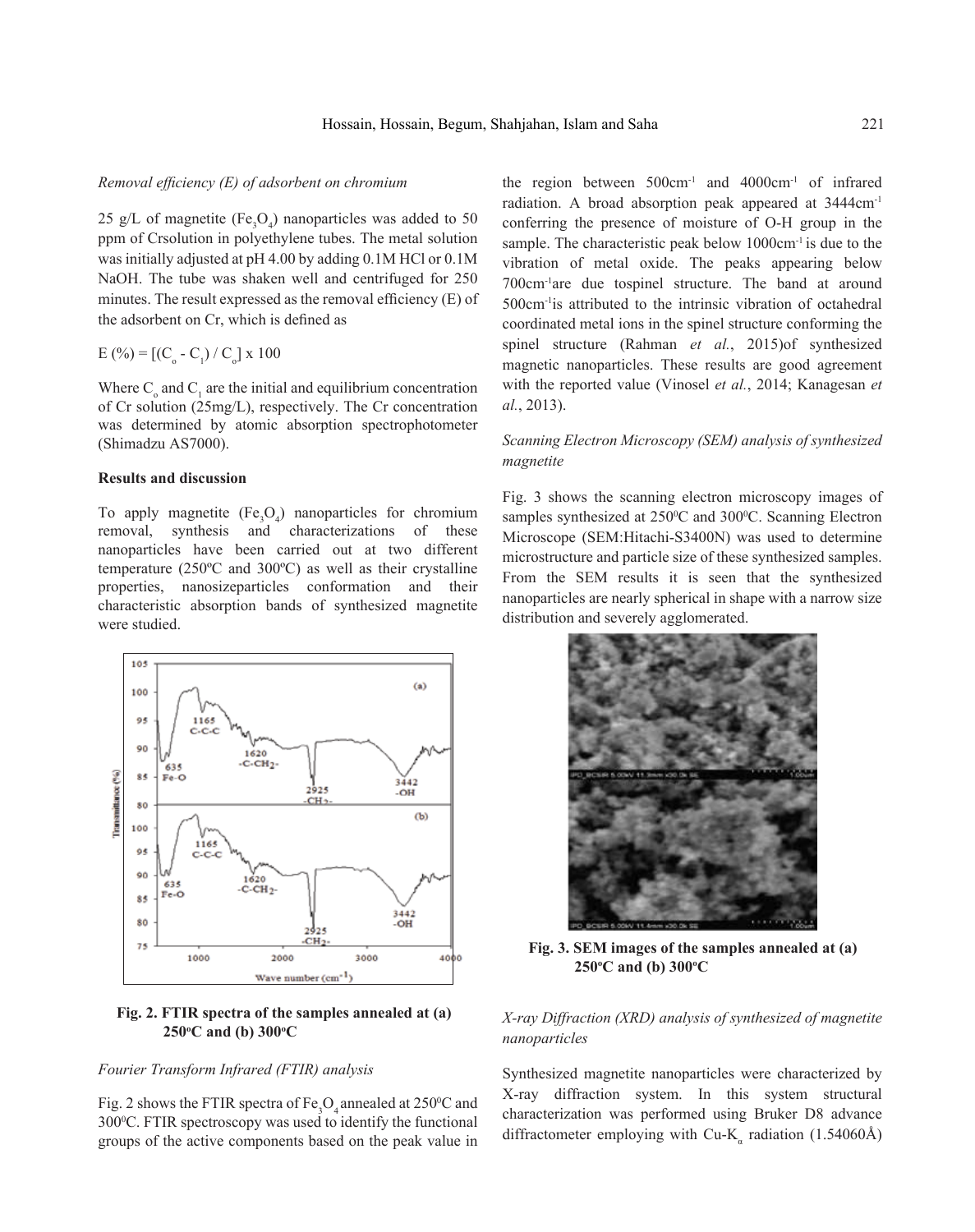#### *Removal efficiency (E) of adsorbent on chromium*

25 g/L of magnetite ( $Fe<sub>3</sub>O<sub>4</sub>$ ) nanoparticles was added to 50 ppm of Crsolution in polyethylene tubes. The metal solution was initially adjusted at pH 4.00 by adding 0.1M HCl or 0.1M NaOH. The tube was shaken well and centrifuged for 250 minutes. The result expressed as the removal efficiency (E) of the adsorbent on Cr, which is defined as

# $E( %) = [(C<sub>o</sub> - C<sub>1</sub>) / C<sub>o</sub>] x 100$

Where  $C_0$  and  $C_1$  are the initial and equilibrium concentration of Cr solution (25mg/L), respectively. The Cr concentration was determined by atomic absorption spectrophotometer (Shimadzu AS7000).

# **Results and discussion**

To apply magnetite  $(Fe<sub>3</sub>O<sub>4</sub>)$  nanoparticles for chromium removal, synthesis and characterizations of these nanoparticles have been carried out at two different temperature (250ºC and 300ºC) as well as their crystalline properties, nanosizeparticles conformation and their characteristic absorption bands of synthesized magnetite were studied.



# **Fig. 2. FTIR spectra of the samples annealed at (a) 250o C and (b) 300o C**

# *Fourier Transform Infrared (FTIR) analysis*

Fig. 2 shows the FTIR spectra of  $Fe<sub>3</sub>O<sub>4</sub>$  annealed at 250°C and 300°C. FTIR spectroscopy was used to identify the functional groups of the active components based on the peak value in

the region between  $500 \text{cm}^{-1}$  and  $4000 \text{cm}^{-1}$  of infrared radiation. A broad absorption peak appeared at 3444cm-1 conferring the presence of moisture of O-H group in the sample. The characteristic peak below  $1000 \text{cm}^{-1}$  is due to the vibration of metal oxide. The peaks appearing below 700cm-1are due tospinel structure. The band at around 500cm-1is attributed to the intrinsic vibration of octahedral coordinated metal ions in the spinel structure conforming the spinel structure (Rahman *et al.*, 2015)of synthesized magnetic nanoparticles. These results are good agreement with the reported value (Vinosel *et al.*, 2014; Kanagesan *et al.*, 2013).

# *Scanning Electron Microscopy (SEM) analysis of synthesized magnetite*

Fig. 3 shows the scanning electron microscopy images of samples synthesized at 250°C and 300°C. Scanning Electron Microscope (SEM:Hitachi-S3400N) was used to determine microstructure and particle size of these synthesized samples. From the SEM results it is seen that the synthesized nanoparticles are nearly spherical in shape with a narrow size distribution and severely agglomerated.



**Fig. 3. SEM images of the samples annealed at (a) 250°C** and (b) 300°C

*X-ray Diffraction (XRD) analysis of synthesized of magnetite nanoparticles*

Synthesized magnetite nanoparticles were characterized by X-ray diffraction system. In this system structural characterization was performed using Bruker D8 advance diffractometer employing with Cu-K<sub>a</sub> radiation (1.54060Å)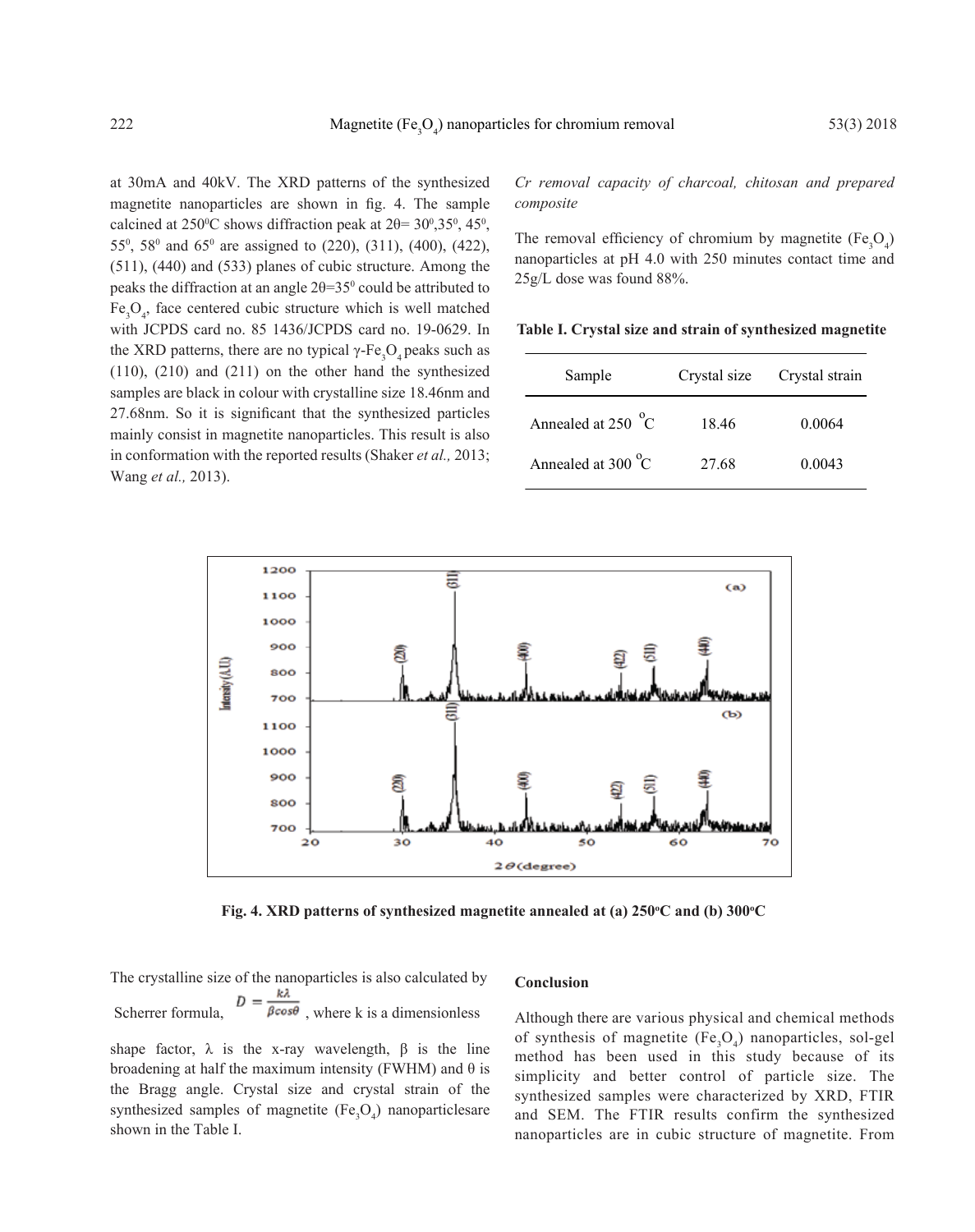at 30mA and 40kV. The XRD patterns of the synthesized magnetite nanoparticles are shown in fig. 4. The sample calcined at 250<sup>o</sup>C shows diffraction peak at  $2\theta = 30^{\circ}, 35^{\circ}, 45^{\circ}$ , 55<sup>0</sup> , 58<sup>0</sup> and 65<sup>0</sup> are assigned to (220), (311), (400), (422), (511), (440) and (533) planes of cubic structure. Among the peaks the diffraction at an angle  $2\theta = 35^\circ$  could be attributed to  $Fe<sub>3</sub>O<sub>4</sub>$ , face centered cubic structure which is well matched with JCPDS card no. 85 1436/JCPDS card no. 19-0629. In the XRD patterns, there are no typical  $\gamma$ -Fe<sub>3</sub>O<sub>4</sub> peaks such as (110), (210) and (211) on the other hand the synthesized samples are black in colour with crystalline size 18.46nm and 27.68nm. So it is significant that the synthesized particles mainly consist in magnetite nanoparticles. This result is also in conformation with the reported results (Shaker *et al.,* 2013; Wang *et al.,* 2013).

*Cr removal capacity of charcoal, chitosan and prepared composite*

The removal efficiency of chromium by magnetite  $(Fe<sub>3</sub>O<sub>4</sub>)$ nanoparticles at pH 4.0 with 250 minutes contact time and 25g/L dose was found 88%.

**Table I. Crystal size and strain of synthesized magnetite**

| Sample                       | Crystal size | Crystal strain |
|------------------------------|--------------|----------------|
| Annealed at 250 $^{\circ}$ C | 18.46        | 0.0064         |
| Annealed at 300 $^{\circ}$ C | 27.68        | 0.0043         |



Fig. 4. XRD patterns of synthesized magnetite annealed at (a) 250°C and (b) 300°C

The crystalline size of the nanoparticles is also calculated by Scherrer formula,  $D = \frac{k\lambda}{\beta cos\theta}$ , where k is a dimensionless

#### **Conclusion**

shape factor,  $\lambda$  is the x-ray wavelength,  $\beta$  is the line broadening at half the maximum intensity (FWHM) and  $\theta$  is the Bragg angle. Crystal size and crystal strain of the synthesized samples of magnetite  $(Fe<sub>3</sub>O<sub>4</sub>)$  nanoparticlesare shown in the Table I.

Although there are various physical and chemical methods of synthesis of magnetite  $(Fe<sub>3</sub>O<sub>4</sub>)$  nanoparticles, sol-gel method has been used in this study because of its simplicity and better control of particle size. The synthesized samples were characterized by XRD, FTIR and SEM. The FTIR results confirm the synthesized nanoparticles are in cubic structure of magnetite. From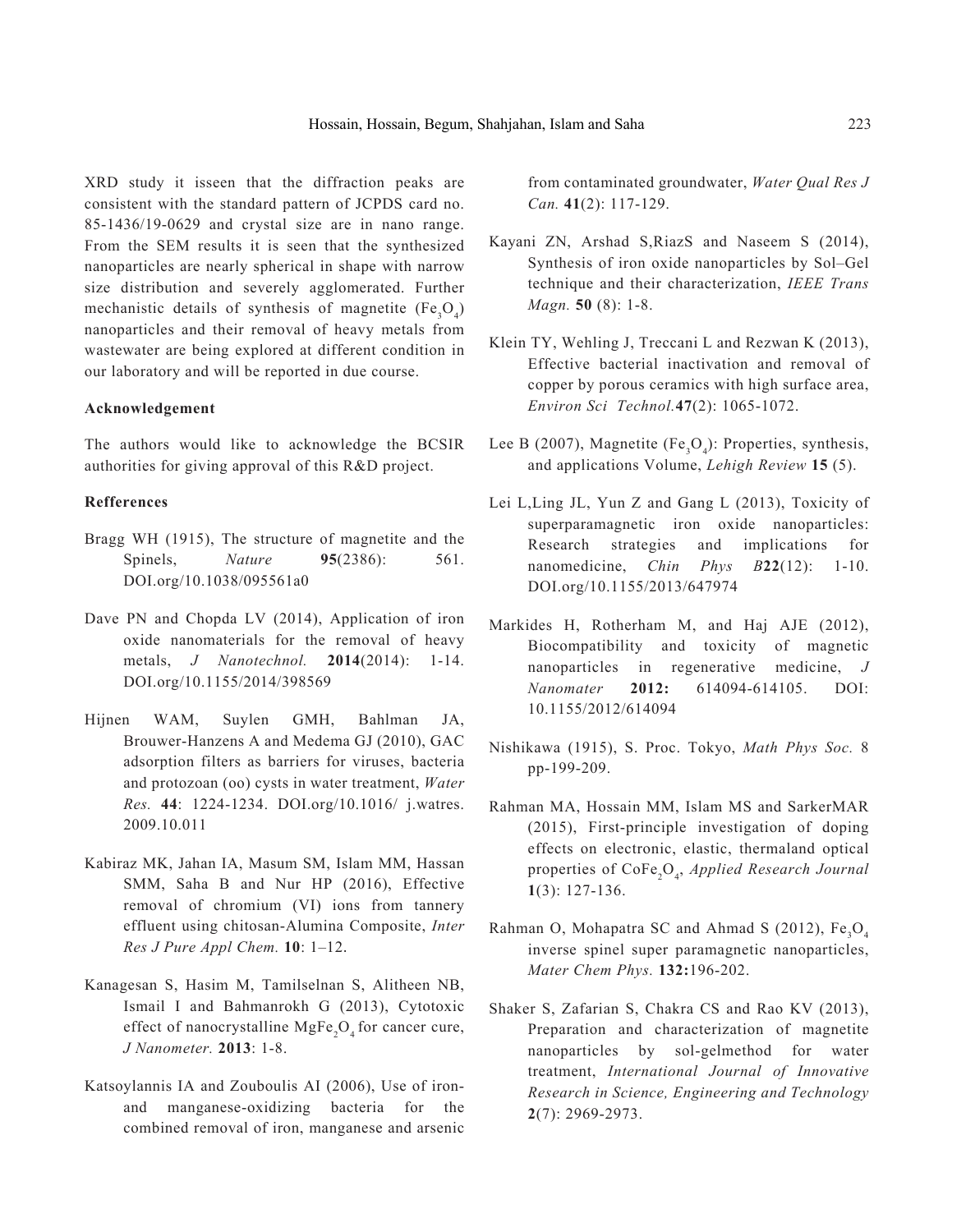XRD study it isseen that the diffraction peaks are consistent with the standard pattern of JCPDS card no. 85-1436/19-0629 and crystal size are in nano range. From the SEM results it is seen that the synthesized nanoparticles are nearly spherical in shape with narrow size distribution and severely agglomerated. Further mechanistic details of synthesis of magnetite  $(Fe<sub>3</sub>O<sub>4</sub>)$ nanoparticles and their removal of heavy metals from wastewater are being explored at different condition in our laboratory and will be reported in due course.

### **Acknowledgement**

The authors would like to acknowledge the BCSIR authorities for giving approval of this R&D project.

# **Refferences**

- Bragg WH (1915), The structure of magnetite and the Spinels, *Nature* **95**(2386): 561. DOI.org/10.1038/095561a0
- Dave PN and Chopda LV (2014), Application of iron oxide nanomaterials for the removal of heavy metals, *J Nanotechnol.* **2014**(2014): 1-14. DOI.org/10.1155/2014/398569
- Hijnen WAM, Suylen GMH, Bahlman JA, Brouwer-Hanzens A and Medema GJ (2010), GAC adsorption filters as barriers for viruses, bacteria and protozoan (oo) cysts in water treatment, *Water Res.* **44**: 1224-1234. DOI.org/10.1016/ j.watres. 2009.10.011
- Kabiraz MK, Jahan IA, Masum SM, Islam MM, Hassan SMM, Saha B and Nur HP (2016), Effective removal of chromium (VI) ions from tannery effluent using chitosan-Alumina Composite, *Inter Res J Pure Appl Chem.* **10**: 1–12.
- Kanagesan S, Hasim M, Tamilselnan S, Alitheen NB, Ismail I and Bahmanrokh G (2013), Cytotoxic effect of nanocrystalline  $MgFe<sub>2</sub>O<sub>4</sub>$  for cancer cure, *J Nanometer.* **2013**: 1-8.
- Katsoylannis IA and Zouboulis AI (2006), Use of ironand manganese-oxidizing bacteria for the combined removal of iron, manganese and arsenic

from contaminated groundwater, *Water Qual Res J Can.* **41**(2): 117-129.

- Kayani ZN, Arshad S,RiazS and Naseem S (2014), Synthesis of iron oxide nanoparticles by Sol–Gel technique and their characterization, *IEEE Trans Magn.* **50** (8): 1-8.
- Klein TY, Wehling J, Treccani L and Rezwan K (2013), Effective bacterial inactivation and removal of copper by porous ceramics with high surface area, *Environ Sci Technol.***47**(2): 1065-1072.
- Lee B (2007), Magnetite  $(Fe<sub>3</sub>O<sub>4</sub>)$ : Properties, synthesis, and applications Volume, *Lehigh Review* **15** (5).
- Lei L,Ling JL, Yun Z and Gang L (2013), Toxicity of superparamagnetic iron oxide nanoparticles: Research strategies and implications for nanomedicine, *Chin Phys B***22**(12): 1-10. DOI.org/10.1155/2013/647974
- Markides H, Rotherham M, and Haj AJE (2012), Biocompatibility and toxicity of magnetic nanoparticles in regenerative medicine, *J Nanomater* **2012:** 614094-614105. DOI: 10.1155/2012/614094
- Nishikawa (1915), S. Proc. Tokyo, *Math Phys Soc.* 8 pp-199-209.
- Rahman MA, Hossain MM, Islam MS and SarkerMAR (2015), First-principle investigation of doping effects on electronic, elastic, thermaland optical properties of CoFe<sub>2</sub>O<sub>4</sub>, *Applied Research Journal* **1**(3): 127-136.
- Rahman O, Mohapatra SC and Ahmad S (2012),  $Fe<sub>3</sub>O<sub>4</sub>$ inverse spinel super paramagnetic nanoparticles, *Mater Chem Phys.* **132:**196-202.
- Shaker S, Zafarian S, Chakra CS and Rao KV (2013), Preparation and characterization of magnetite nanoparticles by sol-gelmethod for water treatment, *International Journal of Innovative Research in Science, Engineering and Technology*  **2**(7): 2969-2973.